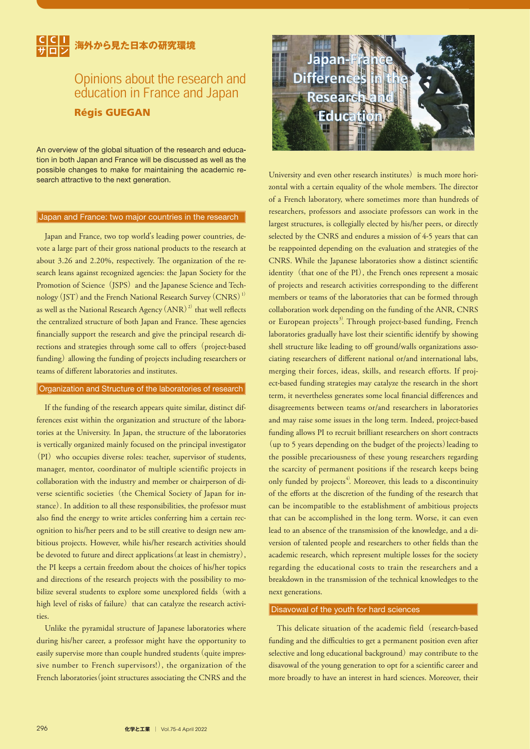## **海外から見た日本の研究環境**

# Opinions about the research and education in France and Japan

Régis GUEGAN

An overview of the global situation of the research and education in both Japan and France will be discussed as well as the possible changes to make for maintaining the academic research attractive to the next generation.

#### Japan and France: two major countries in the research

Japan and France, two top world's leading power countries, devote a large part of their gross national products to the research at about 3.26 and 2.20%, respectively. The organization of the research leans against recognized agencies: the Japan Society for the Promotion of Science (JSPS) and the Japanese Science and Technology (JST) and the French National Research Survey (CNRS)<sup>1)</sup> as well as the National Research Agency  $\rm{(ANR)}^{\rm{(2)}}$  that well reflects the centralized structure of both Japan and France. These agencies nancially support the research and give the principal research directions and strategies through some call to offers (project-based funding) allowing the funding of projects including researchers or teams of different laboratories and institutes.

#### Organization and Structure of the laboratories of research

If the funding of the research appears quite similar, distinct differences exist within the organization and structure of the laboratories at the University. In Japan, the structure of the laboratories is vertically organized mainly focused on the principal investigator (PI) who occupies diverse roles: teacher, supervisor of students, manager, mentor, coordinator of multiple scientific projects in collaboration with the industry and member or chairperson of diverse scientific societies (the Chemical Society of Japan for instance). In addition to all these responsibilities, the professor must also find the energy to write articles conferring him a certain recognition to his/her peers and to be still creative to design new ambitious projects. However, while his/her research activities should be devoted to future and direct applications(at least in chemistry), the PI keeps a certain freedom about the choices of his/her topics and directions of the research projects with the possibility to mobilize several students to explore some unexplored fields (with a high level of risks of failure) that can catalyze the research activities.

Unlike the pyramidal structure of Japanese laboratories where during his/her career, a professor might have the opportunity to easily supervise more than couple hundred students (quite impressive number to French supervisors!), the organization of the French laboratories (joint structures associating the CNRS and the



University and even other research institutes) is much more horizontal with a certain equality of the whole members. The director of a French laboratory, where sometimes more than hundreds of researchers, professors and associate professors can work in the largest structures, is collegially elected by his/her peers, or directly selected by the CNRS and endures a mission of 4-5 years that can be reappointed depending on the evaluation and strategies of the CNRS. While the Japanese laboratories show a distinct scientific identity (that one of the PI), the French ones represent a mosaic of projects and research activities corresponding to the different members or teams of the laboratories that can be formed through collaboration work depending on the funding of the ANR, CNRS or European projects<sup>3)</sup>. Through project-based funding, French laboratories gradually have lost their scientific identify by showing shell structure like leading to off ground/walls organizations associating researchers of different national or/and international labs, merging their forces, ideas, skills, and research efforts. If project-based funding strategies may catalyze the research in the short term, it nevertheless generates some local financial differences and disagreements between teams or/and researchers in laboratories and may raise some issues in the long term. Indeed, project-based funding allows PI to recruit brilliant researchers on short contracts (up to 5 years depending on the budget of the projects)leading to the possible precariousness of these young researchers regarding the scarcity of permanent positions if the research keeps being only funded by projects<sup>4</sup>. Moreover, this leads to a discontinuity of the efforts at the discretion of the funding of the research that can be incompatible to the establishment of ambitious projects that can be accomplished in the long term. Worse, it can even lead to an absence of the transmission of the knowledge, and a diversion of talented people and researchers to other fields than the academic research, which represent multiple losses for the society regarding the educational costs to train the researchers and a breakdown in the transmission of the technical knowledges to the next generations.

#### Disavowal of the youth for hard sciences

This delicate situation of the academic field (research-based funding and the difficulties to get a permanent position even after selective and long educational background) may contribute to the disavowal of the young generation to opt for a scientific career and more broadly to have an interest in hard sciences. Moreover, their